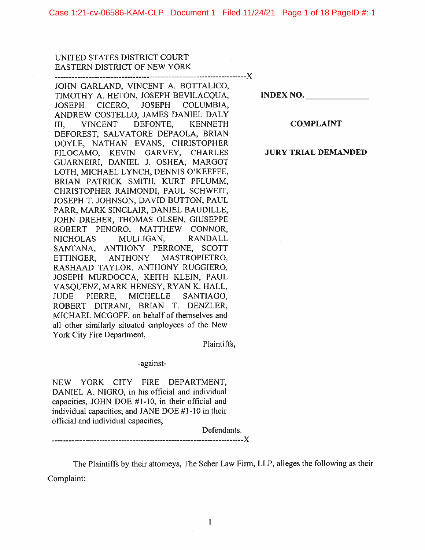Case 1:21-cv-06586-KAM-CLP Document 1 Filed 11/24/21 Page 1 of 18 PageID #: 1

UNITED STATES DISTRICT COURT EASTERN DISTRICT OF NEW YORK

---------------------------------------------------------------------X JOHN GARLAND, VINCENT A. BOTTALICO, TIMOTHY A. HETON, JOSEPH BEVILACQUA, **INDEX NO. \_\_\_\_\_ \_**  JOSEPH CICERO, JOSEPH COLUMBIA, ANDREW COSTELLO, JAMES DANIEL DALY III, VINCENT DEFONTE, KENNETH **COMPLAINT**  DEFOREST, SALVATORE DEPAOLA, BRIAN DOYLE, NATHAN EVANS, CHRISTOPHER FILOCAMO, KEVIN GARVEY, CHARLES **JURY TRIAL DEMANDED**  GUARNEIRI, DANIEL J. OSHEA, MARGOT LOTH, MICHAEL LYNCH, DENNIS O'KEEFFE, BRIAN PATRICK SMITH, KURT PFLUMM, CHRISTOPHER RAIMONDI, PAUL SCHWEIT, JOSEPH T. JOHNSON, DAVID BUTTON, PAUL PARR, MARK SINCLAIR, DANIEL BAUDILLE, JOHN DREHER, THOMAS OLSEN, GIUSEPPE ROBERT PENORO, MATTHEW CONNOR, NICHOLAS MULLIGAN, RANDALL SANTANA, ANTHONY PERRONE, SCOTT ETTINGER, ANTHONY MASTROPIETRO, RASHAAD TAYLOR, ANTHONY RUGGIERO, JOSEPH MURDOCCA, KEITH KLEIN, PAUL V ASQUENZ, MARK HENESY, RY AN K. HALL, JUDE PIERRE, MICHELLE SANTIAGO, ROBERT DITRANI, BRIAN T. DENZLER, MICHAEL MCGOFF, on behalf of themselves and all other similarly situated employees of the New York City Fire Department,

Plaintiffs,

-against-

NEW YORK CITY FIRE DEPARTMENT, DANIEL A. NIGRO, in his official and individual capacities, JOHN DOE  $#1-10$ , in their official and individual capacities; and JANE DOE #1-10 in their official and individual capacities,

Defendants.

-----------------X

The Plaintiffs by their attorneys, The Scher Law Firm, LLP, alleges the following as their Complaint: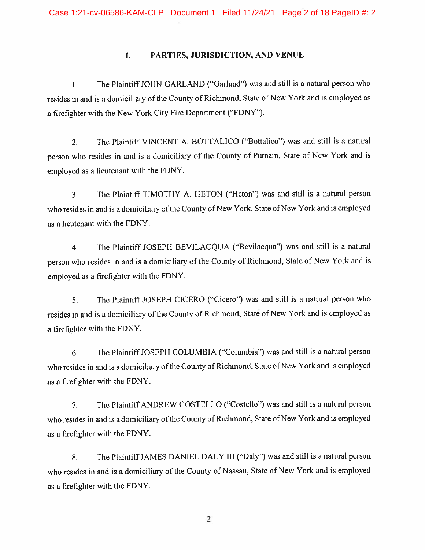# **I. PARTIES, JURISDICTION, AND VENUE**

I. The Plaintiff JOHN GARLAND ("Garland") was and still is a natural person who resides in and is a domiciliary of the County of Richmond, State of New York and is employed as a firefighter with the New York City Fire Department ("FDNY").

2. The Plaintiff VINCENT A. BOTTALICO ("Bottalico") was and still is a natural person who resides in and is a domiciliary of the County of Putnam, State of New York and is employed as a lieutenant with the FDNY.

3. The Plaintiff TIMOTHY A. HETON ("Heton") was and still is a natural person who resides in and is a domiciliary of the County of New York, State of New York and is employed as a lieutenant with the FDNY.

4. The Plaintiff JOSEPH BEVILACQUA ("Bevilacqua") was and still is a natural person who resides in and is a domiciliary of the County of Richmond, State of New York and is employed as a firefighter with the FDNY.

5. The Plaintiff JOSEPH CICERO ("Cicero") was and still is a natural person who resides in and is a domiciliary of the County of Richmond, State of New York and is employed as a firefighter with the FDNY.

6. The Plaintiff JOSEPH COLUMBIA ("Columbia") was and still is a natural person who resides in and is a domiciliary of the County of Richmond, State of New York and is employed as a firefighter with the FDNY.

7. The Plaintiff ANDREW COSTELLO ("Costello") was and still is a natural person who resides in and is a domiciliary of the County of Richmond, State of New York and is employed as a firefighter with the FDNY.

8. The Plaintiff JAMES DANIEL DALY III ("Daly") was and still is a natural person who resides in and is a domiciliary of the County of Nassau, State of New York and is employed as a firefighter with the FDNY.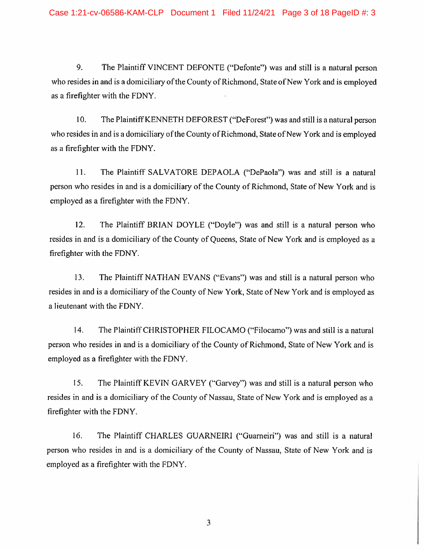9. The Plaintiff VINCENT DEFONTE ("Defonte") was and still is a natural person who resides in and is a domiciliary of the County of Richmond, State of New York and is employed as a firefighter with the FDNY.

10. The Plaintiff KENNETH DEFOREST ("DeForest") was and still is a natural person who resides in and is a domiciliary of the County of Richmond, State of New York and is employed as a firefighter with the FDNY.

11. The Plaintiff SALVATORE DEPAOLA ("DePaola") was and still is a natural person who resides in and is a domiciliary of the County of Richmond, State of New York and is employed as a firefighter with the FDNY.

12. The Plaintiff BRIAN DOYLE ("Doyle") was and still is a natural person who resides in and is a domiciliary of the County of Queens, State of New York and is employed as a firefighter with the FDNY.

13. The Plaintiff NATHAN EVANS ("Evans") was and still is a natural person who resides in and is a domiciliary of the County of New York, State of New York and is employed as a lieutenant with the FDNY.

14. The Plaintiff CHRISTOPHER FILOCAMO ("Filocamo") was and still is a natural person who resides in and is a domiciliary of the County of Richmond, State of New York and is employed as a firefighter with the FDNY.

15. The Plaintiff KEVIN GARVEY ("Garvey") was and still is a natural person who resides in and is a domiciliary of the County of Nassau, State of New York and is employed as a firefighter with the FDNY.

16. The Plaintiff CHARLES GUARNEIRI ("Guarneiri") was and still is a natural person who resides in and is a domiciliary of the County of Nassau, State of New York and is employed as a firefighter with the FDNY.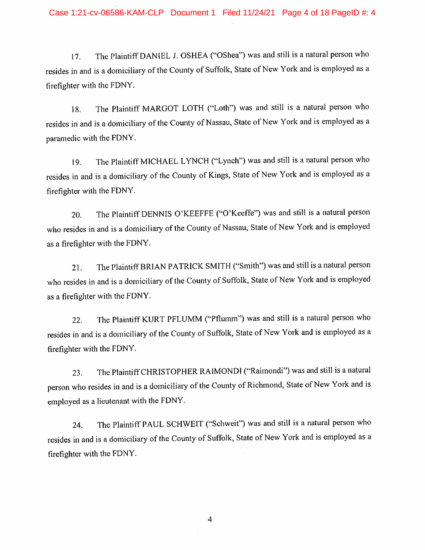17. The Plaintiff DANIEL J. OSHEA ("OShea") was and still is a natural person who resides in and is a domiciliary of the County of Suffolk, State of New York and is employed as a firefighter with the FDNY.

18. The Plaintiff MARGOT LOTH ("Loth") was and still is a natural person who resides in and is a domiciliary of the County of Nassau, State of New York and is employed as a paramedic with the FDNY.

19. The Plaintiff MICHAEL LYNCH ("Lynch") was and still is a natural person who resides in and is a domiciliary of the County of Kings, State of New York and is employed as a firefighter with the FDNY.

20. The Plaintiff DENNIS O'KEEFFE ("O'Keeffe") was and still is a natural person who resides in and is a domiciliary of the County of Nassau, State of New York and is employed as a firefighter with the FDNY.

21. The Plaintiff BRIAN PATRICK SMITH ("Smith") was and still is a natural person who resides in and is a domiciliary of the County of Suffolk, State of New York and is employed as a firefighter with the FDNY.

22. The Plaintiff KURT PFLUMM (''Pflumm") was and still is a natural person who resides in and is a domiciliary of the County of Suffolk, State of New York and is employed as a firefighter with the FDNY.

23. The Plaintiff CHRISTOPHER RAIMONDI ("Raimondi") was and still is a natural person who resides in and is a domiciliary of the County of Richmond, State of New York and is employed as a lieutenant with the FDNY.

24. The Plaintiff PAUL SCHWEIT ("Schweit") was and still is a natural person who resides in and is a domiciliary of the County of Suffolk, State of New York and is employed as a firefighter with the FDNY.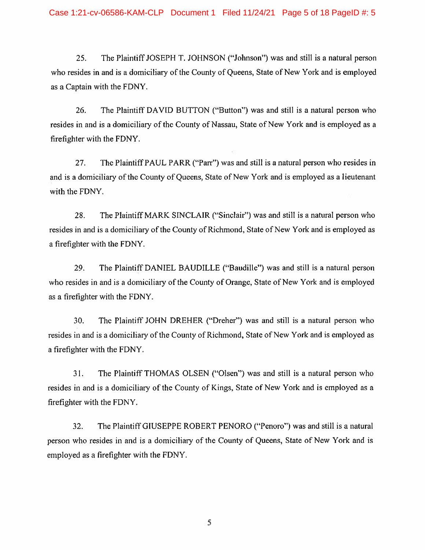25. The Plaintiff JOSEPH T. JOHNSON ("Johnson") was and still is a natural person who resides in and is a domiciliary of the County of Queens, State of New York and is employed as a Captain with the FDNY.

26. The Plaintiff DAVID BUTTON ("Button") was and still is a natural person who resides in and is a domiciliary of the County of Nassau, State of New York and is employed as a firefighter with the FDNY.

27. The Plaintiff PAUL PARR ("Parr") was and still is a natural person who resides in and is a domiciliary of the County of Queens, State of New York and is employed as a lieutenant with the FDNY.

28. The Plaintiff MARK SINCLAIR ("Sinclair") was and still is a natural person who resides in and is a domiciliary of the County of Richmond, State of New York and is employed as a firefighter with the FDNY.

29. The Plaintiff DANIEL BAUDILLE ("Baudille") was and still is a natural person who resides in and is a domiciliary of the County of Orange, State of New York and is employed as a firefighter with the FDNY.

30. The Plaintiff JOHN DREHER ("Dreher") was and still is a natural person who resides in and is a domiciliary of the County of Richmond, State of New York and is employed as a firefighter with the FDNY.

31. The Plaintiff THOMAS OLSEN ("Olsen") was and still is a natural person who resides in and is a domiciliary of the County of Kings, State of New York and is employed as a firefighter with the FDNY.

32. The Plaintiff GIUSEPPE ROBERT PENORO ("Penoro") was and still is a natural person who resides in and is a domiciliary of the County of Queens, State of New York and is employed as a firefighter with the FDNY.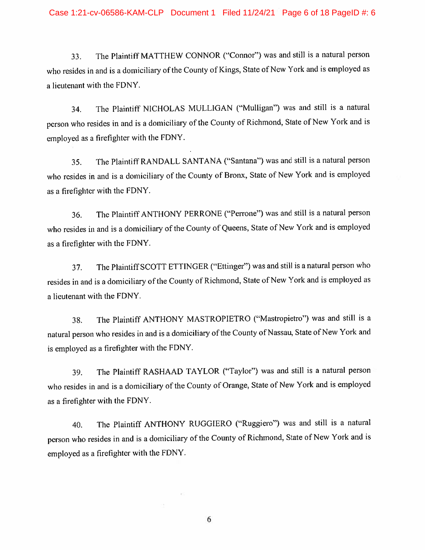33. The Plaintiff MATTHEW CONNOR ("Connor") was and still is a natural person who resides in and is a domiciliary of the County of Kings, State of New York and is employed as a lieutenant with the FDNY.

34. The Plaintiff NICHOLAS MULLIGAN ("Mulligan") was and still is a natural person who resides in and is a domiciliary of the County of Richmond, State of New York and is employed as a firefighter with the FDNY.

35. The Plaintiff RANDALL SANTANA ("Santana") was and still is a natural person who resides in and is a domiciliary of the County of Bronx, State of New York and is employed as a firefighter with the FDNY.

36. The Plaintiff ANTHONY PERRONE ("Perrone") was and still is a natural person who resides in and is a domiciliary of the County of Queens, State of New York and is employed as a firefighter with the FDNY.

37. The Plaintiff SCOTT ETTINGER ("Ettinger") was and still is a natural person who resides in and is a domiciliary of the County of Richmond, State of New York and is employed as a lieutenant with the FDNY.

38. The Plaintiff ANTHONY MASTROPIETRO ("Mastropietro") was and still is a natural person who resides in and is a domiciliary of the County of Nassau, State of New York and is employed as a firefighter with the FDNY.

39. The Plaintiff RASHAAD TAYLOR ("Taylor") was and still is a natural person who resides in and is a domiciliary of the County of Orange, State of New York and is employed as a firefighter with the FDNY.

40. The Plaintiff ANTHONY RUGGIERO ("Ruggiero") was and still is a natural person who resides in and is a domiciliary of the County of Richmond, State of New York and is employed as a firefighter with the FDNY.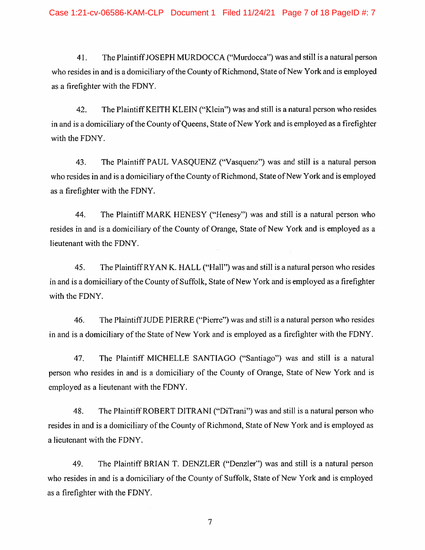41. The Plaintiff JOSEPH MURDOCCA ("Murdocca") was and still is a natural person who resides in and is a domiciliary of the County of Richmond, State of New York and is employed as a firefighter with the FDNY.

42. The Plaintiff KEITH KLEIN ("Klein") was and still is a natural person who resides in and is a domiciliary of the County of Queens, State of New York and is employed as a firefighter with the FDNY.

43. The Plaintiff PAUL VASQUENZ ("Vasquenz") was and still is a natural person who resides in and is a domiciliary of the County of Richmond, State of New York and is employed as a firefighter with the FDNY.

44. The Plaintiff MARK HENESY ("Henesy") was and still is a natural person who resides in and is a domiciliary of the County of Orange, State of New York and is employed as a lieutenant with the FDNY.

45. The Plaintiff RY AN K. HALL ("Hall") was and still is a natural person who resides in and is a domiciliary of the County of Suffolk, State of New York and is employed as a firefighter with the FDNY.

46. The Plaintiff JUDE PIERRE ("Pierre") was and still is a natural person who resides in and is a domiciliary of the State of New York and is employed as a firefighter with the FDNY.

47. The Plaintiff MICHELLE SANTIAGO ("Santiago") was and still is a natural person who resides in and is a domiciliary of the County of Orange, State of New York and is employed as a lieutenant with the FDNY.

48. The Plaintiff ROBERT DITRANI ("DiTrani") was and still is a natural person who resides in and is a domiciliary of the County of Richmond, State of New York and is employed as a lieutenant with the FDNY.

49. The Plaintiff BRIAN T. DENZLER ("Denzler'') was and still is a natural person who resides in and is a domiciliary of the County of Suffolk, State of New York and is employed as a firefighter with the FDNY.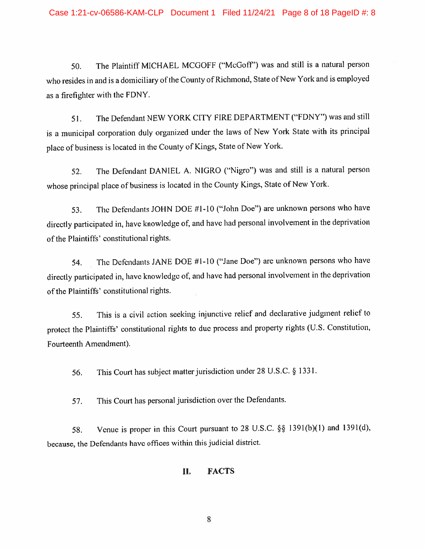50. The Plaintiff MICHAEL MCGOFF ("McGoff") was and still is a natural person who resides in and is a domiciliary of the County of Richmond, State of New York and is employed as a firefighter with the FDNY.

51. The Defendant NEW YORK CITY FIRE DEPARTMENT ("FDNY") was and still is a municipal corporation duly organized under the laws of New York State with its principal place of business is located in the County of Kings, State of New York.

52. The Defendant DANIEL A. NIGRO ("Nigro") was and still is a natural person whose principal place of business is located in the County Kings, State of New York.

53. The Defendants JOHN DOE #1-10 ("John Doe") are unknown persons who have directly participated in, have knowledge of, and have had personal involvement in the deprivation of the Plaintiffs' constitutional rights.

54. The Defendants JANE DOE #1-10 ("Jane Doe") are unknown persons who have directly participated in, have knowledge of, and have had personal involvement in the deprivation of the Plaintiffs' constitutional rights.

55. This is a civil action seeking injunctive relief and declarative judgment relief to protect the Plaintiffs' constitutional rights to due process and property rights (U.S. Constitution, Fourteenth Amendment).

56. This Court has subject matter jurisdiction under 28 U.S.C. § 1331.

57. This Court has personal jurisdiction over the Defendants.

58. Venue is proper in this Court pursuant to 28 U.S.C. §§ 139l(b)(l) and 1391(d), because, the Defendants have offices within this judicial district.

#### **II. FACTS**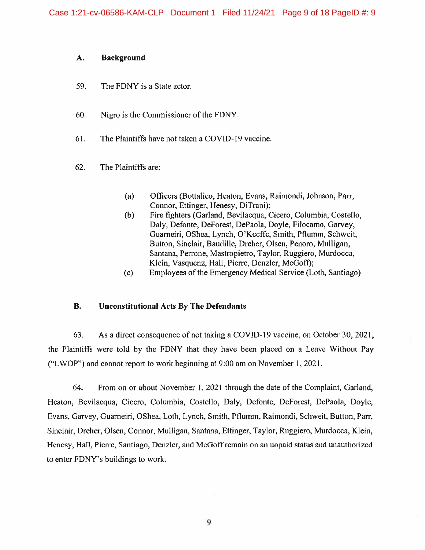#### **A. Background**

- 59. The FDNY is a State actor.
- 60. Nigro is the Commissioner of the FDNY.
- 61. The Plaintiffs have not taken a COVID-19 vaccine.
- 62. The Plaintiffs are:
	- (a) Officers (Bottalico, Heaton, Evans, Raimondi, Johnson, Parr, Connor, Ettinger, Henesy, DiTrani);
	- (b) Fire fighters (Garland, Bevilacqua, Cicero, Columbia, Costello, Daly, Defonte, DeForest, DePaola, Doyle, Filocamo, Garvey, Guameiri, OShea, Lynch, O'Keeffe, Smith, Pflumm, Schweit, Button, Sinclair, Baudille, Dreher, Olsen, Penoro, Mulligan, Santana, Perrone, Mastropietro, Taylor, Ruggiero, Murdocca, Klein, Vasquenz, Hall, Pierre, Denzler, McGoft);
	- (c) Employees of the Emergency Medical Service (Loth, Santiago)

### **B. Unconstitutional Acts By The Defendants**

63. As a direct consequence of not taking a COVID-19 vaccine, on October 30, 2021, the Plaintiffs were told by the FDNY that they have been placed on a Leave Without Pay ("L WOP") and cannot report to work beginning at 9:00 am on November I, 2021.

64. From on or about November 1, 2021 through the date of the Complaint, Garland, Heaton, Bevilacqua, Cicero, Columbia, Costello, Daly, Defonte, DeForest, DePaola, Doyle, Evans, Garvey, Guameiri, OShea, Loth, Lynch, Smith, Pflumm, Raimondi, Schweit, Button, Parr, Sinclair, Dreher, Olsen, Connor, Mulligan, Santana, Ettinger, Taylor, Ruggiero, Murdocca, Klein, Henesy, Hall, Pierre, Santiago, Denzler, and McGoff remain on an unpaid status and unauthorized to enter FDNY's buildings to work.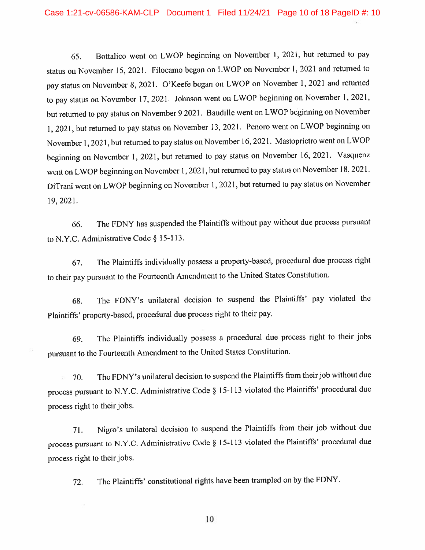65. Bottalico went on L WOP beginning on November 1, 202 l, but returned to pay status on November 15, 2021. Filocamo began on L WOP on November l, 2021 and returned to pay status on November 8, 2021. O'Keefe began on LWOP on November 1, 2021 and returned to pay status on November 17, 2021. Johnson went on LWOP beginning on November 1, 2021, but returned to pay status on November 9 2021. Baudille went on L WOP beginning on November I, 2021, but returned to pay status on November 13, 2021. Penoro went on L WOP beginning on November l, 2021, but returned to pay status on November 16, 202 I . Mastoprietro went on L WOP beginning on November 1, 2021, but returned to pay status on November 16, 2021. Vasquenz went on LWOP beginning on November 1, 2021, but returned to pay status on November 18, 2021. DiTrani went on L WOP beginning on November l, 2021, but returned to pay status on November 19, 2021.

66. The FDNY has suspended the Plaintiffs without pay without due process pursuant to N.Y.C. Administrative Code§ 15-113.

67. The Plaintiffs individually possess a property-based, procedural due process right to their pay pursuant to the Fourteenth Amendment to the United States Constitution.

68. The FDNY's unilateral decision to suspend the Plaintiffs' pay violated the Plaintiffs' property-based, procedural due process right to their pay.

69. The Plaintiffs individually possess a procedural due process right to their jobs pursuant to the Fourteenth Amendment to the United States Constitution.

70. The FDNY's unilateral decision to suspend the Plaintiffs from their job without due process pursuant to N.Y.C. Administrative Code§ 15-113 violated the Plaintiffs' procedural due process right to their jobs.

71. Nigro's unilateral decision to suspend the Plaintiffs from their job without due process pursuant to N.Y.C. Administrative Code§ 15-113 violated the Plaintiffs' procedural due process right to their jobs.

72. The Plaintiffs' constitutional rights have been trampled on by the FDNY.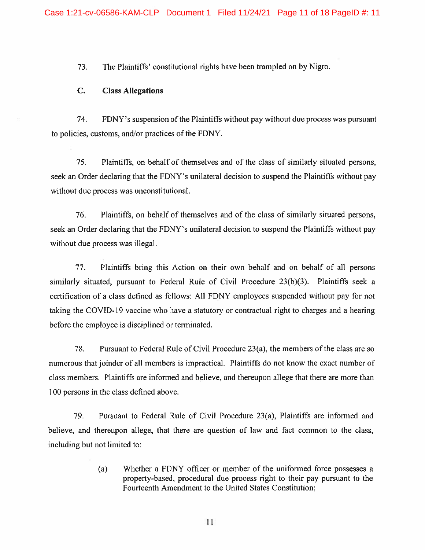73. The Plaintiffs' constitutional rights have been trampled on by Nigro.

#### **C. Class Allegations**

74. FDNY's suspension of the Plaintiffs without pay without due process was pursuant to policies, customs, and/or practices of the FDNY.

75. Plaintiffs, on behalf of themselves and of the class of similarly situated persons, seek an Order declaring that the FDNY's unilateral decision to suspend the Plaintiffs without pay without due process was unconstitutional.

76. Plaintiffs, on behalf of themselves and of the class of similarly situated persons, seek an Order declaring that the FDNY's unilateral decision to suspend the Plaintiffs without pay without due process was illegal.

77. Plaintiffs bring this Action on their own behalf and on behalf of all persons similarly situated, pursuant to Federal Rule of Civil Procedure 23(b){3). Plaintiffs seek a certification of a class defined as follows: All FDNY employees suspended without pay for not taking the COVID-19 vaccine who have a statutory or contractual right to charges and a hearing before the employee is disciplined or terminated.

78. Pursuant to Federal Rule of Civil Procedure 23(a), the members of the class are so numerous that joinder of all members is impractical. Plaintiffs do not know the exact number of class members. Plaintiffs are infonned and believe, and thereupon allege that there are more than I 00 persons in the class defined above.

79. Pursuant to Federal Rule of Civil Procedure 23(a), Plaintiffs are informed and believe, and thereupon allege, that there are question of law and fact common to the class, including but not limited to:

> (a) Whether a FDNY officer or member of the unifonned force possesses a property-based, procedural due process right to their pay pursuant to the Fourteenth Amendment to the United States Constitution;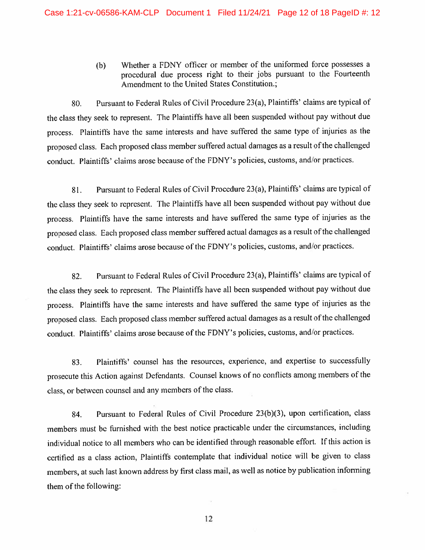(b) Whether a FDNY officer or member of the uniformed force possesses a procedural due process right to their jobs pursuant to the Fourteenth Amendment to the United States Constitution.;

80. Pursuant to Federal Rules of Civil Procedure 23(a), Plaintiffs' claims are typical of the class they seek to represent. The Plaintiffs have all been suspended without pay without due process. Plaintiffs have the same interests and have suffered the same type of injuries as the proposed class. Each proposed class member suffered actual damages as a result of the challenged conduct. Plaintiffs' claims arose because of the FDNY's policies, customs, and/or practices.

81. Pursuant to Federal Rules of Civil Procedure 23(a), Plaintiffs' claims are typical of the class they seek to represent. The Plaintiffs have all been suspended without pay without due process. Plaintiffs have the same interests and have suffered the same type of injuries as the proposed class. Each proposed class member suffered actual damages as a result of the challenged conduct. Plaintiffs' claims arose because of the FDNY's policies, customs, and/or practices.

82. Pursuant to Federal Rules of Civil Procedure 23(a), Plaintiffs' claims are typical of the class they seek to represent. The Plaintiffs have all been suspended without pay without due process. Plaintiffs have the same interests and have suffered the same type of injuries as the proposed class. Each proposed class member suffered actual damages as a result of the challenged conduct. Plaintiffs' claims arose because of the FDNY's policies, customs, and/or practices.

83. Plaintiffs' counsel has the resources, experience, and expertise to successfully prosecute this Action against Defendants. Counsel knows of no conflicts among members of the class, or between counsel and any members of the class.

84. Pursuant to Federal Rules of Civil Procedure 23(b)(3), upon certification, class members must be furnished with the best notice practicable under the circumstances, including individual notice to all members who can be identified through reasonable effort. If this action is certified as a class action, Plaintiffs contemplate that individual notice will be given to class members, at such last known address by first class mail, as well as notice by publication infonning them of the following: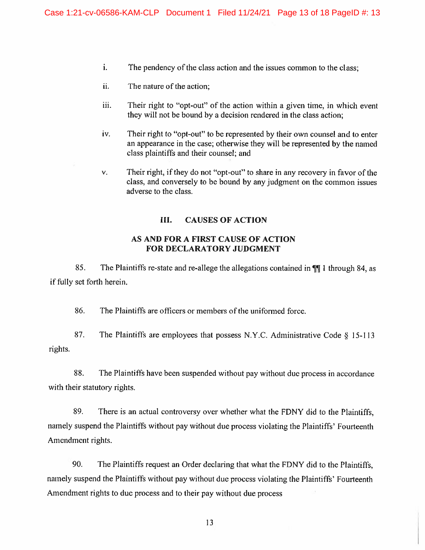- i. The pendency of the class action and the issues common to the class;
- ii. The nature of the action:
- iii. Their right to "opt-out" of the action within a given time, in which event they will not be bound by a decision rendered in the class action;
- iv. Their right to "opt-out" to be represented by their own counsel and to enter an appearance in the case; otherwise they will be represented by the named class plaintiffs and their counsel; and
- v. Their right, if they do not "opt-out" to share in any recovery in favor of the class, and conversely to be bound by any judgment on the common issues adverse to the class.

### III. **CAUSES OF ACTION**

### **AS AND FOR A FIRST CAUSE OF ACTION FOR DECLARATORY JUDGMENT**

85. The Plaintiffs re-state and re-allege the allegations contained in  $\P\P$  1 through 84, as if fully set forth herein.

86. The Plaintiffs are officers or members of the uniformed force.

87. The Plaintiffs are employees that possess N.Y.C. Administrative Code *§* 15-113 rights.

88. The Plaintiffs have been suspended without pay without due process in accordance with their statutory rights.

89. There is an actual controversy over whether what the FDNY did to the Plaintiffs, namely suspend the Plaintiffs without pay without due process violating the Plaintiffs' Fourteenth Amendment rights.

90. The Plaintiffs request an Order declaring that what the FDNY did to the Plaintiffs, namely suspend the Plaintiffs without pay without due process violating the Plaintiffs' Fourteenth Amendment rights to due process and to their pay without due process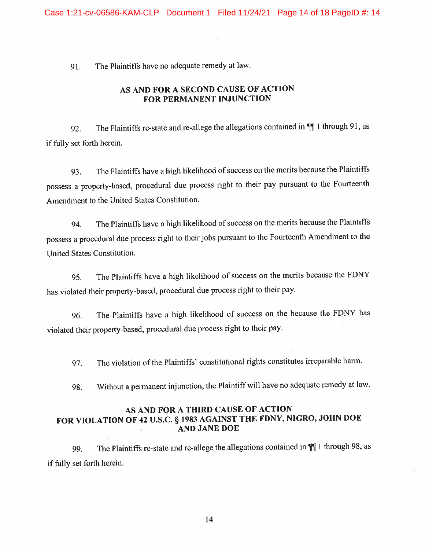91. The Plaintiffs have no adequate remedy at law.

# **AS AND FOR A SECOND CAUSE OF ACTION FOR PERMANENT INJUNCTION**

92. The Plaintiffs re-state and re-allege the allegations contained in  $\P$ [1 through 91, as if fully set forth herein.

93. The Plaintiffs have a high likelihood of success on the merits because the Plaintiffs possess a property-based, procedural due process right to their pay pursuant to the Fourteenth Amendment to the United States Constitution.

94. The Plaintiffs have a high likelihood of success on the merits because the Plaintiffs possess a procedural due process right to their jobs pursuant to the Fourteenth Amendment to the United States Constitution.

95. The Plaintiffs have a high likelihood of success on the merits because the FDNY has violated their property-based, procedural due process right to their pay.

96. The Plaintiffs have a high likelihood of success on the because the FDNY has violated their property-based, procedural due process right to their pay.

97. The violation of the Plaintiffs' constitutional rights constitutes irreparable hann.

98. Without a permanent injunction, the Plaintiff will have no adequate remedy at law.

## **AS AND FOR A THIRD CAUSE OF ACTION FOR VIOLATION OF 42 U.S.C.** § **1983 AGAINST THE FDNY, NIGRO, JOHN DOE AND JANE DOE**

99. The Plaintiffs re-state and re-allege the allegations contained in  $\P$ 1 through 98, as if fully set forth herein.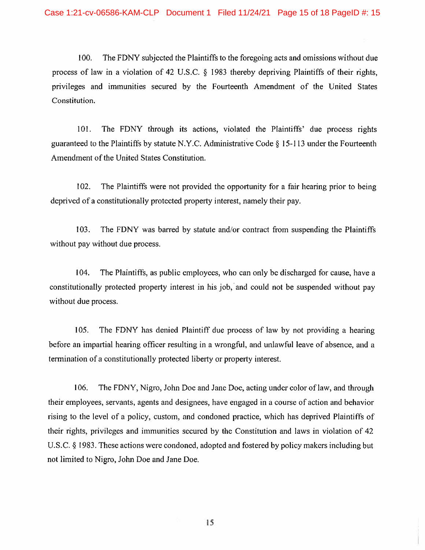100. The FDNY subjected the Plaintiffs to the foregoing acts and omissions without due process of law in a violation of 42 U.S.C. § 1983 thereby depriving Plaintiffs of their rights, privileges and immunities secured by the Fourteenth Amendment of the United States Constitution.

101. The FDNY through its actions, violated the Plaintiffs' due process rights guaranteed to the Plaintiffs by statute N.Y.C. Administrative Code§ 15-113 under the Fourteenth Amendment of the United States Constitution.

102. The Plaintiffs were not provided the opportunity for a fair hearing prior to being deprived of a constitutionally protected property interest, namely their pay.

103. The FDNY was barred by statute and/or contract from suspending the Plaintiffs without pay without due process.

104. The Plaintiffs, as public employees, who can only be discharged for cause, have a constitutionally protected property interest in his job, and could not be suspended without pay without due process.

105. The FDNY has denied Plaintiff due process of law by not providing a hearing before an impartial hearing officer resulting in a wrongful, and unlawful leave of absence, and a tennination of a constitutionally protected liberty or property interest.

I 06. The FDNY, Nigro, John Doe and Jane Doe, acting under color of law, and through their employees, servants, agents and designees, have engaged in a course of action and behavior rising to the level of a policy, custom, and condoned practice, which has deprived Plaintiffs of their rights, privileges and immunities secured by the Constitution and laws in violation of 42 U.S.C. § 1983. These actions were condoned, adopted and fostered by policy makers including but not limited to Nigro, John Doe and Jane Doe.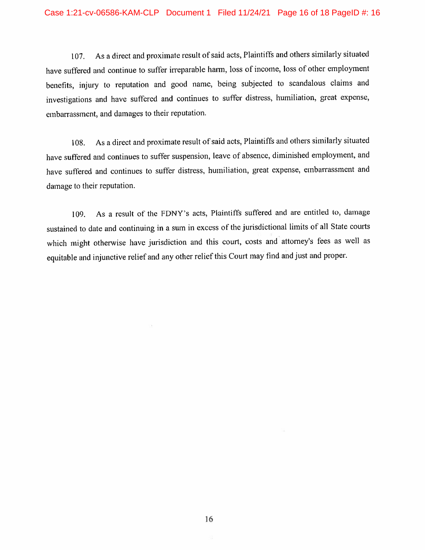107. As a direct and proximate result of said acts, Plaintiffs and others similarly situated have suffered and continue to suffer irreparable hann, loss of income, loss of other employment benefits, injury to reputation and good name, being subjected to scandalous claims and investigations and have suffered and continues to suffer distress, humiliation, great expense, embarrassment, and damages to their reputation.

108. As a direct and proximate result of said acts, Plaintiffs and others similarly situated have suffered and continues to suffer suspension, leave of absence, diminished employment, and have suffered and continues to suffer distress, humiliation, great expense, embarrassment and damage to their reputation.

I 09. As a result of the FDNY's acts, Plaintiffs suffered and are entitled to, damage sustained to date and continuing in a sum in excess of the jurisdictional limits of all State comts which might otherwise have jurisdiction and this court, costs and attorney's fees as well as equitable and injunctive relief and any other relief this Court may find and just and proper.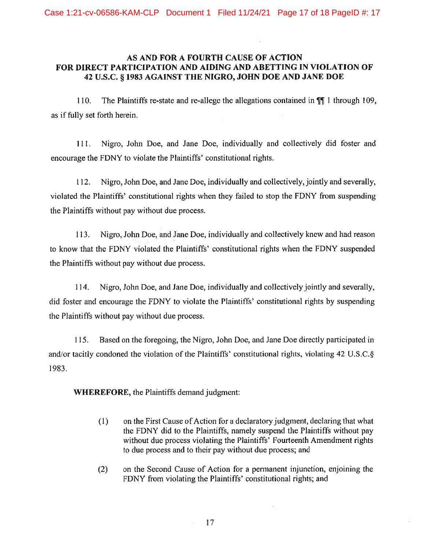### **AS AND FOR A FOURTH CAUSE OF ACTION FOR DIRECT PARTICIPATION AND AIDING AND ABETTING IN VIOLATION OF 42 U.S.C.** § **1983 AGAINST THE NIGRO, JOHN DOE AND JANE DOE**

110. The Plaintiffs re-state and re-allege the allegations contained in  $\P$ [ 1 through 109, as if fully set forth herein.

1 I l. Nigro, John Doe, and Jane Doe, individually and collectively did foster and encourage the FDNY to violate the Plaintiffs' constitutional rights.

112. Nigro, John Doe, and Jane Doe, individually and collectively, jointly and severally, violated the Plaintiffs' constitutional rights when they failed to stop the FDNY from suspending the Plaintiffs without pay without due process.

113. Nigro, John Doe, and Jane Doe, individually and collectively knew and had reason to know that the FDNY violated the Plaintiffs' constitutional rights when the FDNY suspended the Plaintiffs without pay without due process.

114. Nigro, John Doe, and Jane Doe, individually and collectively jointly and severally, did foster and encourage the FDNY to violate the Plaintiffs' constitutional rights by suspending the Plaintiffs without pay without due process.

115. Based on the foregoing, the Nigro, John Doe, and Jane Doe directly participated in and/or tacitly condoned the violation of the Plaintiffs' constitutional rights, violating 42 U.S.C.§ I 983.

**WHEREFORE,** the Plaintiffs demand judgment:

- ( l) on the First Cause of Action for a declaratory judgment, declaring that what the FDNY did to the Plaintiffs, namely suspend the Plaintiffs without pay without due process violating the Plaintiffs' Fourteenth Amendment rights to due process and to their pay without due process; and
- (2) on the Second Cause of Action for a permanent injunction, enjoining the FDNY from violating the Plaintiffs' constitutional rights; and